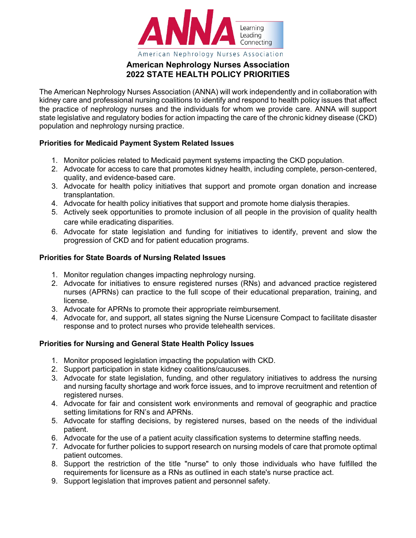

## **American Nephrology Nurses Association 2022 STATE HEALTH POLICY PRIORITIES**

The American Nephrology Nurses Association (ANNA) will work independently and in collaboration with kidney care and professional nursing coalitions to identify and respond to health policy issues that affect the practice of nephrology nurses and the individuals for whom we provide care. ANNA will support state legislative and regulatory bodies for action impacting the care of the chronic kidney disease (CKD) population and nephrology nursing practice.

## **Priorities for Medicaid Payment System Related Issues**

- 1. Monitor policies related to Medicaid payment systems impacting the CKD population.
- 2. Advocate for access to care that promotes kidney health, including complete, person-centered, quality, and evidence-based care.
- 3. Advocate for health policy initiatives that support and promote organ donation and increase transplantation.
- 4. Advocate for health policy initiatives that support and promote home dialysis therapies.
- 5. Actively seek opportunities to promote inclusion of all people in the provision of quality health care while eradicating disparities.
- 6. Advocate for state legislation and funding for initiatives to identify, prevent and slow the progression of CKD and for patient education programs.

## **Priorities for State Boards of Nursing Related Issues**

- 1. Monitor regulation changes impacting nephrology nursing.
- 2. Advocate for initiatives to ensure registered nurses (RNs) and advanced practice registered nurses (APRNs) can practice to the full scope of their educational preparation, training, and license.
- 3. Advocate for APRNs to promote their appropriate reimbursement.
- 4. Advocate for, and support, all states signing the Nurse Licensure Compact to facilitate disaster response and to protect nurses who provide telehealth services.

## **Priorities for Nursing and General State Health Policy Issues**

- 1. Monitor proposed legislation impacting the population with CKD.
- 2. Support participation in state kidney coalitions/caucuses.
- 3. Advocate for state legislation, funding, and other regulatory initiatives to address the nursing and nursing faculty shortage and work force issues, and to improve recruitment and retention of registered nurses.
- 4. Advocate for fair and consistent work environments and removal of geographic and practice setting limitations for RN's and APRNs.
- 5. Advocate for staffing decisions, by registered nurses, based on the needs of the individual patient.
- 6. Advocate for the use of a patient acuity classification systems to determine staffing needs.
- 7. Advocate for further policies to support research on nursing models of care that promote optimal patient outcomes.
- 8. Support the restriction of the title "nurse" to only those individuals who have fulfilled the requirements for licensure as a RNs as outlined in each state's nurse practice act.
- 9. Support legislation that improves patient and personnel safety.